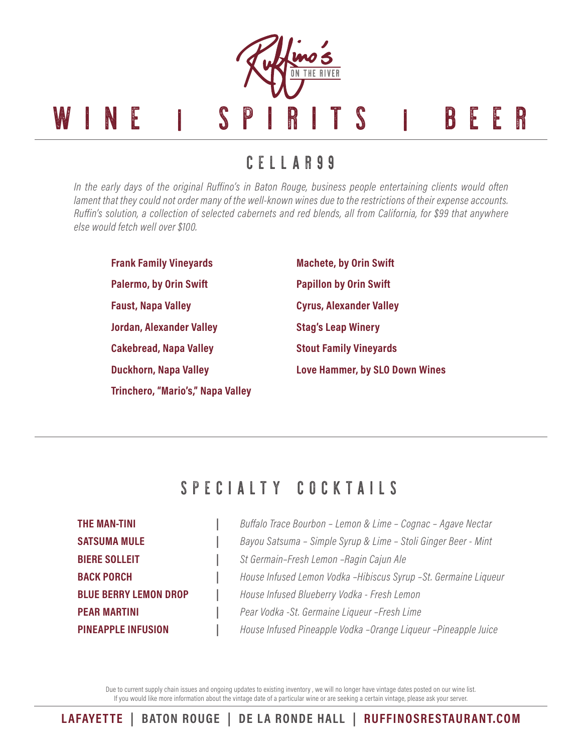

CELLAR 9 9

*In the early days of the original Ruffino's in Baton Rouge, business people entertaining clients would often lament that they could not order many of the well-known wines due to the restrictions of their expense accounts. Ruffin's solution, a collection of selected cabernets and red blends, all from California, for \$99 that anywhere else would fetch well over \$100.*

**Frank Family Vineyards Palermo, by Orin Swift Faust, Napa Valley Jordan, Alexander Valley Cakebread, Napa Valley Duckhorn, Napa Valley Trinchero, "Mario's," Napa Valley**

**Machete, by Orin Swift Papillon by Orin Swift Cyrus, Alexander Valley Stag's Leap Winery Stout Family Vineyards Love Hammer, by SLO Down Wines**

## SPECIALTY COCKTAILS

**THE MAN-TINI |** *Buffalo Trace Bourbon – Lemon & Lime – Cognac – Agave Nectar* **SATSUMA MULE |** *Bayou Satsuma – Simple Syrup & Lime – Stoli Ginger Beer - Mint* **BIERE SOLLEIT |** *St Germain–Fresh Lemon –Ragin Cajun Ale* **BACK PORCH |** *House Infused Lemon Vodka –Hibiscus Syrup –St. Germaine Liqueur* **BLUE BERRY LEMON DROP |** *House Infused Blueberry Vodka - Fresh Lemon* **PEAR MARTINI |** *Pear Vodka -St. Germaine Liqueur –Fresh Lime* **PINEAPPLE INFUSION |** *House Infused Pineapple Vodka –Orange Liqueur –Pineapple Juice*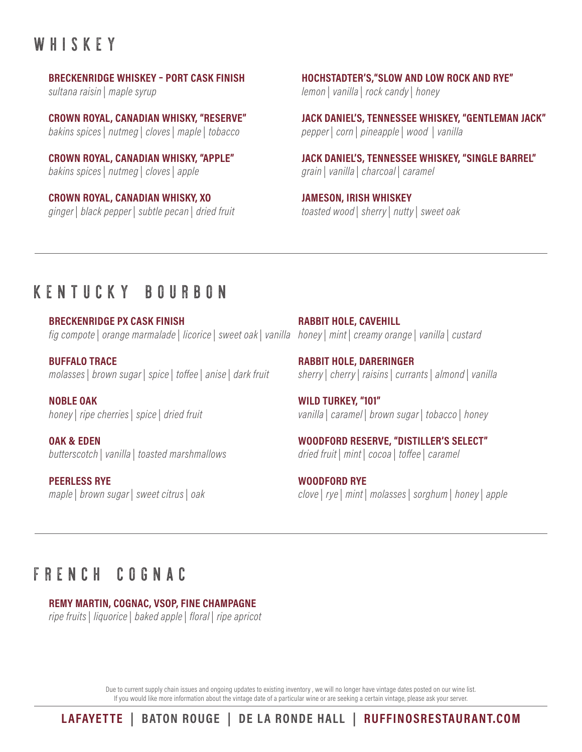# WHISKEY

#### **BRECKENRIDGE WHISKEY – PORT CASK FINISH**

*sultana raisin | maple syrup*

**CROWN ROYAL, CANADIAN WHISKY, "RESERVE"** *bakins spices | nutmeg | cloves | maple | tobacco*

**CROWN ROYAL, CANADIAN WHISKY, "APPLE"** *bakins spices | nutmeg | cloves | apple*

**CROWN ROYAL, CANADIAN WHISKY, XO** *ginger | black pepper | subtle pecan | dried fruit*

**HOCHSTADTER'S,"SLOW AND LOW ROCK AND RYE"** *lemon | vanilla | rock candy | honey*

**JACK DANIEL'S, TENNESSEE WHISKEY, "GENTLEMAN JACK"** *pepper | corn | pineapple | wood | vanilla*

**JACK DANIEL'S, TENNESSEE WHISKEY, "SINGLE BARREL"** *grain | vanilla | charcoal | caramel*

**JAMESON, IRISH WHISKEY** *toasted wood | sherry | nutty | sweet oak*

## KENTUCKY BOURBON

**BRECKENRIDGE PX CASK FINISH** *fig compote | orange marmalade | licorice | sweet oak | vanilla honey | mint | creamy orange | vanilla | custard*

**BUFFALO TRACE** *molasses | brown sugar | spice | toffee | anise | dark fruit*

**NOBLE OAK** *honey | ripe cherries | spice | dried fruit*

**OAK & EDEN** *butterscotch | vanilla | toasted marshmallows*

**PEERLESS RYE** *maple | brown sugar | sweet citrus | oak* **RABBIT HOLE, CAVEHILL**

**RABBIT HOLE, DARERINGER** *sherry | cherry | raisins | currants | almond | vanilla*

**WILD TURKEY, "101"** *vanilla | caramel | brown sugar | tobacco | honey*

**WOODFORD RESERVE, "DISTILLER'S SELECT"** *dried fruit | mint | cocoa | toffee | caramel*

**WOODFORD RYE** *clove | rye | mint | molasses | sorghum | honey | apple*

# F R E N C H C O G N A C

**REMY MARTIN, COGNAC, VSOP, FINE CHAMPAGNE** *ripe fruits | liquorice | baked apple | floral | ripe apricot*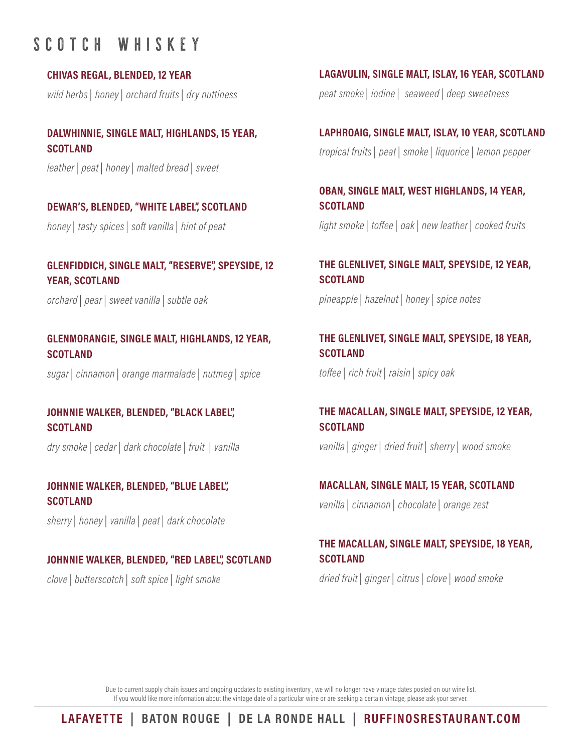## SCOTCH WHISKEY

**CHIVAS REGAL, BLENDED, 12 YEAR**

*wild herbs | honey | orchard fruits | dry nuttiness*

## **DALWHINNIE, SINGLE MALT, HIGHLANDS, 15 YEAR, SCOTLAND**

*leather | peat | honey | malted bread | sweet*

## **DEWAR'S, BLENDED, "WHITE LABEL", SCOTLAND** *honey | tasty spices | soft vanilla | hint of peat*

**GLENFIDDICH, SINGLE MALT, "RESERVE", SPEYSIDE, 12 YEAR, SCOTLAND**

*orchard | pear | sweet vanilla | subtle oak*

## **GLENMORANGIE, SINGLE MALT, HIGHLANDS, 12 YEAR, SCOTLAND**

*sugar | cinnamon | orange marmalade | nutmeg | spice*

## **JOHNNIE WALKER, BLENDED, "BLACK LABEL", SCOTLAND**

*dry smoke | cedar | dark chocolate | fruit | vanilla*

## **JOHNNIE WALKER, BLENDED, "BLUE LABEL", SCOTLAND**

*sherry | honey | vanilla | peat | dark chocolate*

## **JOHNNIE WALKER, BLENDED, "RED LABEL", SCOTLAND**

*clove | butterscotch | soft spice | light smoke*

## **LAGAVULIN, SINGLE MALT, ISLAY, 16 YEAR, SCOTLAND**

*peat smoke | iodine | seaweed | deep sweetness*

## **LAPHROAIG, SINGLE MALT, ISLAY, 10 YEAR, SCOTLAND** *tropical fruits | peat | smoke | liquorice | lemon pepper*

### **OBAN, SINGLE MALT, WEST HIGHLANDS, 14 YEAR, SCOTLAND**

*light smoke | toffee | oak | new leather | cooked fruits*

## **THE GLENLIVET, SINGLE MALT, SPEYSIDE, 12 YEAR, SCOTLAND**

*pineapple | hazelnut | honey | spice notes*

## **THE GLENLIVET, SINGLE MALT, SPEYSIDE, 18 YEAR, SCOTLAND**

*toffee | rich fruit | raisin | spicy oak*

## **THE MACALLAN, SINGLE MALT, SPEYSIDE, 12 YEAR, SCOTLAND**

*vanilla | ginger | dried fruit | sherry | wood smoke*

## **MACALLAN, SINGLE MALT, 15 YEAR, SCOTLAND** *vanilla | cinnamon | chocolate | orange zest*

## **THE MACALLAN, SINGLE MALT, SPEYSIDE, 18 YEAR, SCOTLAND**

*dried fruit | ginger | citrus | clove | wood smoke*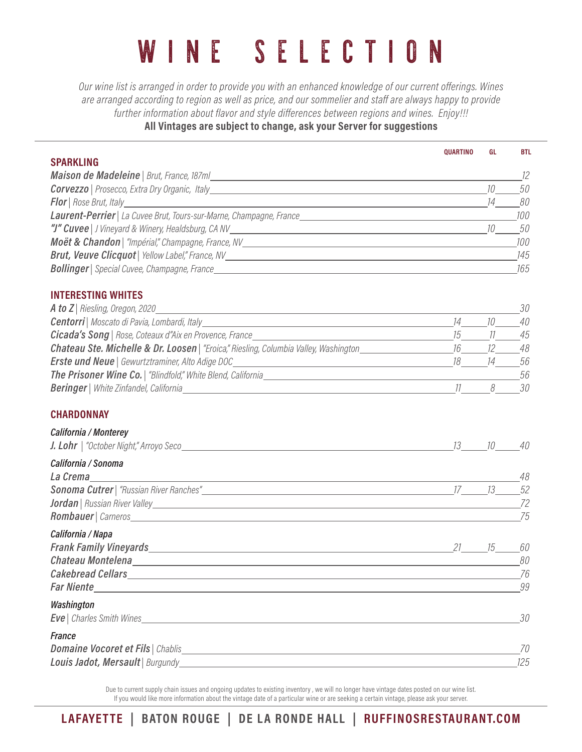*Our wine list is arranged in order to provide you with an enhanced knowledge of our current offerings. Wines are arranged according to region as well as price, and our sommelier and staff are always happy to provide further information about flavor and style differences between regions and wines. Enjoy!!!* **All Vintages are subject to change, ask your Server for suggestions**

|                                                                                                                                                                                                                                          | <b>QUARTINO</b> | GL | <b>BTL</b> |
|------------------------------------------------------------------------------------------------------------------------------------------------------------------------------------------------------------------------------------------|-----------------|----|------------|
| <b>SPARKLING</b>                                                                                                                                                                                                                         |                 |    |            |
| Maison de Madeleine   Brut, France, 187m/                                                                                                                                                                                                |                 |    | 12         |
|                                                                                                                                                                                                                                          |                 | 10 | 50         |
|                                                                                                                                                                                                                                          |                 | 14 | 80         |
|                                                                                                                                                                                                                                          |                 |    | 100        |
|                                                                                                                                                                                                                                          |                 |    | 50         |
|                                                                                                                                                                                                                                          |                 |    | 100        |
|                                                                                                                                                                                                                                          |                 |    |            |
|                                                                                                                                                                                                                                          |                 |    |            |
| <b>INTERESTING WHITES</b>                                                                                                                                                                                                                |                 |    |            |
|                                                                                                                                                                                                                                          |                 |    | 30         |
|                                                                                                                                                                                                                                          | 14              | 10 | 40         |
|                                                                                                                                                                                                                                          |                 |    | 45         |
|                                                                                                                                                                                                                                          |                 |    | 48         |
| <b>Erste und Neue</b>   Gewurtztraminer, Alto Adige DOC________________________________                                                                                                                                                  | 18 14           |    | 56         |
|                                                                                                                                                                                                                                          |                 |    | 56         |
|                                                                                                                                                                                                                                          |                 |    | 30         |
| <b>CHARDONNAY</b>                                                                                                                                                                                                                        |                 |    |            |
| California / Monterey                                                                                                                                                                                                                    |                 |    |            |
|                                                                                                                                                                                                                                          |                 |    |            |
| California / Sonoma                                                                                                                                                                                                                      |                 |    |            |
| La Crema <u>de la contrada de la contrada de la contrada de la contrada de la contrada de la contrada de la contrada de la contrada de la contrada de la contrada de la contrada de la contrada de la contrada de la contrada de</u>     |                 |    | 48         |
|                                                                                                                                                                                                                                          |                 |    | 52         |
| <b>Jordan</b>   Russian River Valley <u>  National American Communication</u>   National American Communication   National American Communication   National American Communication   National American Communication   National America |                 |    | 72         |
|                                                                                                                                                                                                                                          |                 |    | 75         |
| California / Napa                                                                                                                                                                                                                        |                 |    |            |
| <b>Frank Family Vineyards</b> 15 21 22                                                                                                                                                                                                   |                 |    | 60         |
|                                                                                                                                                                                                                                          |                 |    | 80         |
| Cakebread Cellars experience and the case of the case of the case of the case of the case of the case of the c                                                                                                                           |                 |    | 76         |
| <b>Far Niente</b>                                                                                                                                                                                                                        |                 |    | 99         |
| Washington                                                                                                                                                                                                                               |                 |    |            |
| <b>Eve</b>   Charles Smith Wines <b>No. 2016</b>                                                                                                                                                                                         |                 |    | 30         |
| <b>France</b>                                                                                                                                                                                                                            |                 |    |            |
|                                                                                                                                                                                                                                          |                 |    | 70         |
| <b>Louis Jadot, Mersault</b>   Burgundy <b>No. 1976</b> No. 1976                                                                                                                                                                         |                 |    | 125        |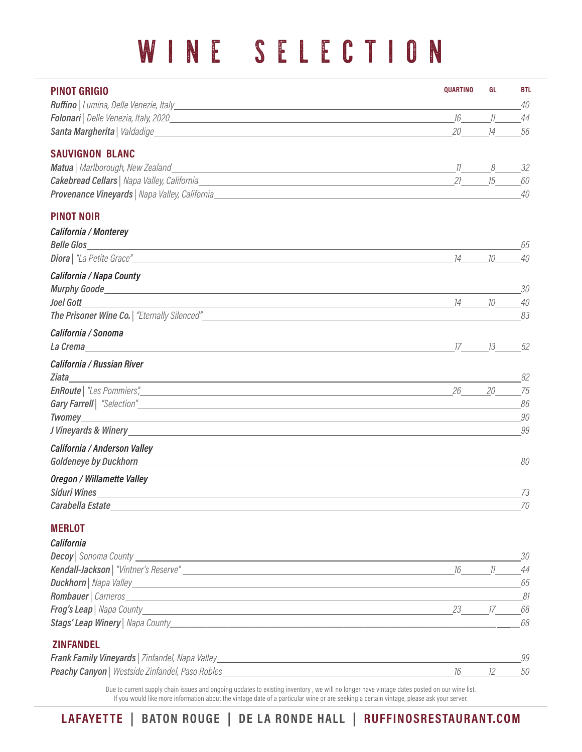| <b>PINOT GRIGIO</b>                                                                                                                                                                                                                                                                   | <b>QUARTINO</b> | GL    | <b>BTL</b> |
|---------------------------------------------------------------------------------------------------------------------------------------------------------------------------------------------------------------------------------------------------------------------------------------|-----------------|-------|------------|
|                                                                                                                                                                                                                                                                                       |                 |       | 40         |
|                                                                                                                                                                                                                                                                                       |                 |       | 44         |
|                                                                                                                                                                                                                                                                                       | 20 14           |       | 56         |
| <b>SAUVIGNON BLANC</b>                                                                                                                                                                                                                                                                |                 |       |            |
|                                                                                                                                                                                                                                                                                       |                 |       | - 32       |
|                                                                                                                                                                                                                                                                                       |                 |       | 60         |
|                                                                                                                                                                                                                                                                                       |                 |       | 40         |
| <b>PINOT NOIR</b>                                                                                                                                                                                                                                                                     |                 |       |            |
| California / Monterey                                                                                                                                                                                                                                                                 |                 |       |            |
|                                                                                                                                                                                                                                                                                       |                 |       | 65         |
|                                                                                                                                                                                                                                                                                       |                 | 14 10 | 40         |
| California / Napa County                                                                                                                                                                                                                                                              |                 |       |            |
|                                                                                                                                                                                                                                                                                       |                 |       | -30        |
|                                                                                                                                                                                                                                                                                       |                 |       | 40         |
|                                                                                                                                                                                                                                                                                       |                 |       | 83         |
| California / Sonoma                                                                                                                                                                                                                                                                   |                 |       |            |
| La Crema $\frac{17}{13}$ and $\frac{17}{13}$ and $\frac{17}{13}$ and $\frac{17}{13}$ and $\frac{17}{13}$ and $\frac{17}{13}$ and $\frac{17}{13}$ and $\frac{17}{13}$ and $\frac{17}{13}$ and $\frac{17}{13}$ and $\frac{17}{13}$ and $\frac{17}{13}$ and $\frac{17}{13}$ and $\frac{$ |                 |       | -52        |
| California / Russian River                                                                                                                                                                                                                                                            |                 |       |            |
|                                                                                                                                                                                                                                                                                       |                 |       | 82         |
|                                                                                                                                                                                                                                                                                       |                 | 20    | 75         |
|                                                                                                                                                                                                                                                                                       |                 |       | 86         |
|                                                                                                                                                                                                                                                                                       |                 |       | 90<br>99   |
|                                                                                                                                                                                                                                                                                       |                 |       |            |
| California / Anderson Valley                                                                                                                                                                                                                                                          |                 |       |            |
|                                                                                                                                                                                                                                                                                       |                 |       | 80         |
| Oregon / Willamette Valley                                                                                                                                                                                                                                                            |                 |       | 73         |
| Carabella Estate                                                                                                                                                                                                                                                                      |                 |       | 70         |
|                                                                                                                                                                                                                                                                                       |                 |       |            |
| <b>MERLOT</b>                                                                                                                                                                                                                                                                         |                 |       |            |
| California                                                                                                                                                                                                                                                                            |                 |       |            |
| <b>Decoy</b> Sonoma County <u>Conservation and County Conservation and Countries and Countries and Countries and Countries and Countries and Countries and Countries and Countries and Countries and Countries and Countries and Coun</u>                                             |                 |       | 30         |
|                                                                                                                                                                                                                                                                                       |                 |       | 44<br>65   |
|                                                                                                                                                                                                                                                                                       |                 |       |            |
|                                                                                                                                                                                                                                                                                       |                 |       |            |
| Stags' Leap Winery   Napa County National County And County And County And County And County And County And County                                                                                                                                                                    |                 |       | 68         |
|                                                                                                                                                                                                                                                                                       |                 |       |            |
| <b>ZINFANDEL</b>                                                                                                                                                                                                                                                                      |                 |       |            |
| <b>Peachy Canyon</b>   Westside Zinfandel, Paso Robles                                                                                                                                                                                                                                |                 |       | 99<br>50   |
|                                                                                                                                                                                                                                                                                       |                 |       |            |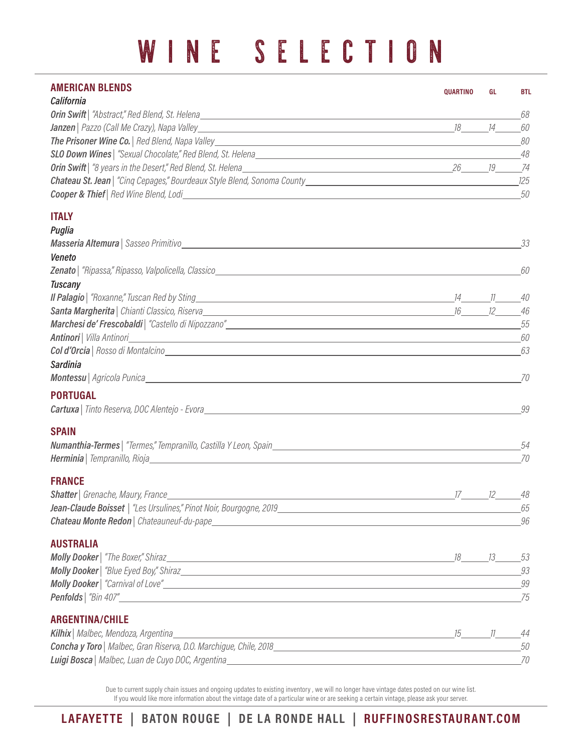| <b>AMERICAN BLENDS</b>                                                                                                        | <b>QUARTINO</b> | GL | <b>BTL</b> |
|-------------------------------------------------------------------------------------------------------------------------------|-----------------|----|------------|
| California                                                                                                                    |                 |    | 68         |
|                                                                                                                               |                 |    | 60         |
|                                                                                                                               |                 |    | 80         |
|                                                                                                                               |                 |    | 48         |
|                                                                                                                               |                 |    |            |
|                                                                                                                               |                 |    |            |
|                                                                                                                               |                 |    | 50         |
| <b>ITALY</b>                                                                                                                  |                 |    |            |
| Puglia                                                                                                                        |                 |    |            |
|                                                                                                                               |                 |    | 33         |
| Veneto                                                                                                                        |                 |    |            |
|                                                                                                                               |                 |    | 60         |
| <b>Tuscany</b>                                                                                                                |                 |    |            |
|                                                                                                                               |                 |    |            |
|                                                                                                                               |                 |    | 46         |
|                                                                                                                               |                 |    | 55         |
| <b>Antinori</b>   Villa Antinori   <b>Mantinori   <i>GO</i></b><br>Col d'Orcia   Rosso di Montalcino                          |                 |    | 63         |
| <b>Sardinia</b>                                                                                                               |                 |    |            |
|                                                                                                                               |                 |    | 70         |
| <b>PORTUGAL</b>                                                                                                               |                 |    |            |
| <b>Cartuxa</b>   Tinto Reserva, DOC Alentejo - Evora   New York   New York   New York   New York   New York   New York        |                 |    | 99         |
| <b>SPAIN</b>                                                                                                                  |                 |    |            |
|                                                                                                                               |                 |    | 54         |
| <b>Herminia</b>   Tempranillo, Rioja   <b>Maria Anglie, Anglie, Anglie, Anglie, Anglie, Anglie, Anglie, Anglie, Anglie, A</b> |                 |    | 70         |
| <b>FRANCE</b>                                                                                                                 |                 |    |            |
| <b>Shatter</b>   Grenache, Maury, France                                                                                      | 17 12 48        |    |            |
|                                                                                                                               |                 |    | 65         |
|                                                                                                                               |                 |    | 96         |
| <b>AUSTRALIA</b>                                                                                                              |                 |    |            |
|                                                                                                                               |                 |    |            |
|                                                                                                                               |                 |    | 93         |
|                                                                                                                               |                 |    | 99<br>75   |
| <b>ARGENTINA/CHILE</b>                                                                                                        |                 |    |            |
| Kilhix   Malbec, Mendoza, Argentina_<br>15 11 44                                                                              |                 |    |            |
|                                                                                                                               |                 |    | 50         |
|                                                                                                                               |                 |    | 70         |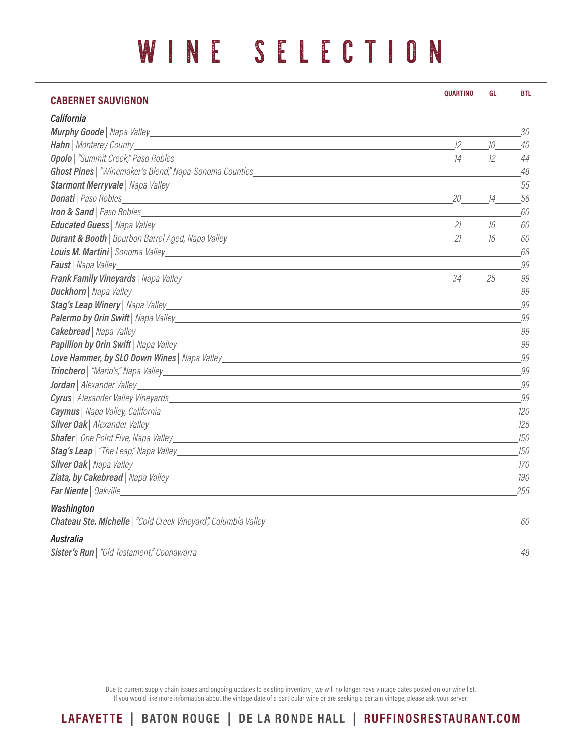### **CABERNET SAUVIGNON**  *California Murphy Goode | Napa Valley 30 Hahn | Monterey County 12 10 40 Opolo | "Summit Creek," Paso Robles 14 12 44 Ghost Pines | "Winemaker's Blend," Napa-Sonoma Counties 48* **Starmont Merryvale** | Napa Valley 55 *Donati | Paso Robles 20 14 56 Iron & Sand | Paso Robles 60 Educated Guess | Napa Valley 21 16 60 Durant & Booth | Bourbon Barrel Aged, Napa Valley 21 16 60 Louis M. Martini | Sonoma Valley 68 Faust | Napa Valley 99 Frank Family Vineyards | Napa Valley 34 25 99 Duckhorn | Napa Valley 99 Stag's Leap Winery | Napa Valley 99 Palermo by Orin Swift | Napa Valley 99 Cakebread | Napa Valley 99* Papillion by Orin Swift<sup></sup> | Napa Valley 99 *Love Hammer, by SLO Down Wines | Napa Valley 99 Trinchero | "Mario's," Napa Valley 99 Jordan | Alexander Valley 99 Cyrus | Alexander Valley Vineyards 99 Caymus | Napa Valley, California 120 Silver Oak | Alexander Valley 125 Shafer | One Point Five, Napa Valley 150* **Stag's Leap** | "The Leap," Napa Valley 150 *Silver Oak | Napa Valley 170 Ziata, by Cakebread | Napa Valley 190 Far Niente | Oakville 255 Washington Chateau Ste. Michelle | "Cold Creek Vineyard", Columbia Valley 60 Australia*  **QUARTINO GL BTL**

Due to current supply chain issues and ongoing updates to existing inventory , we will no longer have vintage dates posted on our wine list. If you would like more information about the vintage date of a particular wine or are seeking a certain vintage, please ask your server.

*Sister's Run | "Old Testament," Coonawarra 48*